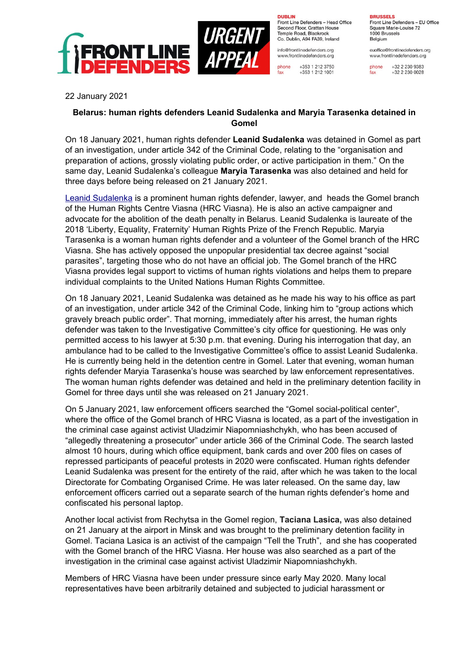



**DURLIN** Front Line Defenders - Head Office Second Floor, Grattan House Temple Boad, Blackrock Co. Dublin, A94 FA39, Ireland

info@frontlinedefenders.org www.frontlinedefenders.org

fax

+353 1 212 3750 phone +353 1 212 1001

**BDUCCEL C** Front Line Defenders - EU Office Square Marie-Louise 72 1000 Brussels Belgium

euoffice@frontlinedefenders.org www.frontlinedefenders.org

phone +32 2 230 9383  $fax$ +32 2 230 0028

22 January 2021

## **Belarus: human rights defenders Leanid Sudalenka and Maryia Tarasenka detained in Gomel**

On 18 January 2021, human rights defender **Leanid Sudalenka** was detained in Gomel as part of an investigation, under article 342 of the Criminal Code, relating to the "organisation and preparation of actions, grossly violating public order, or active participation in them." On the same day, Leanid Sudalenka's colleague **Maryia Tarasenka** was also detained and held for three days before being released on 21 January 2021.

Leanid Sudalenka is a prominent human rights defender, lawyer, and heads the Gomel branch of the Human Rights Centre Viasna (HRC Viasna). He is also an active campaigner and advocate for the abolition of the death penalty in Belarus. Leanid Sudalenka is laureate of the 2018 'Liberty, Equality, Fraternity' Human Rights Prize of the French Republic. Maryia Tarasenka is a woman human rights defender and a volunteer of the Gomel branch of the HRC Viasna. She has actively opposed the unpopular presidential tax decree against "social parasites", targeting those who do not have an official job. The Gomel branch of the HRC Viasna provides legal support to victims of human rights violations and helps them to prepare individual complaints to the United Nations Human Rights Committee.

On 18 January 2021, Leanid Sudalenka was detained as he made his way to his office as part of an investigation, under article 342 of the Criminal Code, linking him to "group actions which gravely breach public order". That morning, immediately after his arrest, the human rights defender was taken to the Investigative Committee's city office for questioning. He was only permitted access to his lawyer at 5:30 p.m. that evening. During his interrogation that day, an ambulance had to be called to the Investigative Committee's office to assist Leanid Sudalenka. He is currently being held in the detention centre in Gomel. Later that evening, woman human rights defender Maryia Tarasenka's house was searched by law enforcement representatives. The woman human rights defender was detained and held in the preliminary detention facility in Gomel for three days until she was released on 21 January 2021.

On 5 January 2021, law enforcement officers searched the "Gomel social-political center", where the office of the Gomel branch of HRC Viasna is located, as a part of the investigation in the criminal case against activist Uladzimir Niapomniashchykh, who has been accused of "allegedly threatening a prosecutor" under article 366 of the Criminal Code. The search lasted almost 10 hours, during which office equipment, bank cards and over 200 files on cases of repressed participants of peaceful protests in 2020 were confiscated. Human rights defender Leanid Sudalenka was present for the entirety of the raid, after which he was taken to the local Directorate for Combating Organised Crime. He was later released. On the same day, law enforcement officers carried out a separate search of the human rights defender's home and confiscated his personal laptop.

Another local activist from Rechytsa in the Gomel region, **Taciana Lasica,** was also detained on 21 January at the airport in Minsk and was brought to the preliminary detention facility in Gomel. Taciana Lasica is an activist of the campaign "Tell the Truth", and she has cooperated with the Gomel branch of the HRC Viasna. Her house was also searched as a part of the investigation in the criminal case against activist Uladzimir Niapomniashchykh.

Members of HRC Viasna have been under pressure since early May 2020. Many local representatives have been arbitrarily detained and subjected to judicial harassment or